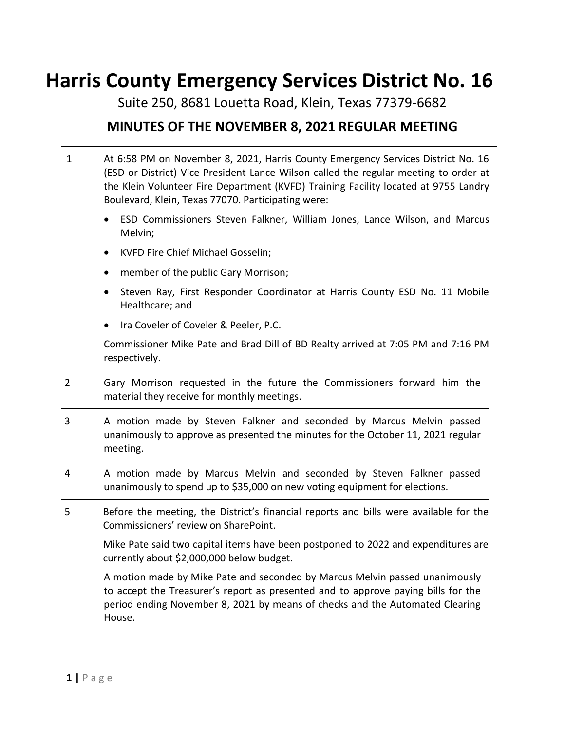# **Harris County Emergency Services District No. 16**

Suite 250, 8681 Louetta Road, Klein, Texas 77379-6682

**MINUTES OF THE NOVEMBER 8, 2021 REGULAR MEETING**

- 1 At 6:58 PM on November 8, 2021, Harris County Emergency Services District No. 16 (ESD or District) Vice President Lance Wilson called the regular meeting to order at the Klein Volunteer Fire Department (KVFD) Training Facility located at 9755 Landry Boulevard, Klein, Texas 77070. Participating were:
	- ESD Commissioners Steven Falkner, William Jones, Lance Wilson, and Marcus Melvin;
	- KVFD Fire Chief Michael Gosselin;
	- member of the public Gary Morrison;
	- Steven Ray, First Responder Coordinator at Harris County ESD No. 11 Mobile Healthcare; and
	- Ira Coveler of Coveler & Peeler, P.C.

Commissioner Mike Pate and Brad Dill of BD Realty arrived at 7:05 PM and 7:16 PM respectively.

- 2 Gary Morrison requested in the future the Commissioners forward him the material they receive for monthly meetings.
- 3 A motion made by Steven Falkner and seconded by Marcus Melvin passed unanimously to approve as presented the minutes for the October 11, 2021 regular meeting.
- 4 A motion made by Marcus Melvin and seconded by Steven Falkner passed unanimously to spend up to \$35,000 on new voting equipment for elections.
- 5 Before the meeting, the District's financial reports and bills were available for the Commissioners' review on SharePoint.

Mike Pate said two capital items have been postponed to 2022 and expenditures are currently about \$2,000,000 below budget.

A motion made by Mike Pate and seconded by Marcus Melvin passed unanimously to accept the Treasurer's report as presented and to approve paying bills for the period ending November 8, 2021 by means of checks and the Automated Clearing House.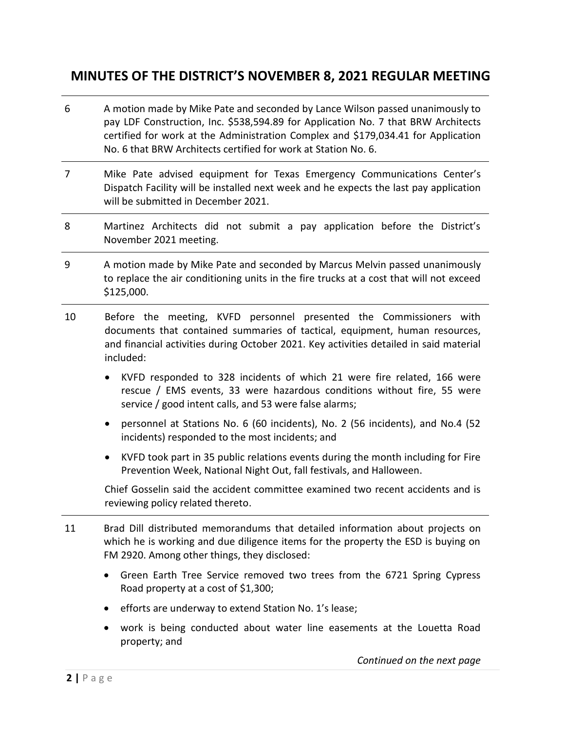- 6 A motion made by Mike Pate and seconded by Lance Wilson passed unanimously to pay LDF Construction, Inc. \$538,594.89 for Application No. 7 that BRW Architects certified for work at the Administration Complex and \$179,034.41 for Application No. 6 that BRW Architects certified for work at Station No. 6.
- 7 Mike Pate advised equipment for Texas Emergency Communications Center's Dispatch Facility will be installed next week and he expects the last pay application will be submitted in December 2021.
- 8 Martinez Architects did not submit a pay application before the District's November 2021 meeting.
- 9 A motion made by Mike Pate and seconded by Marcus Melvin passed unanimously to replace the air conditioning units in the fire trucks at a cost that will not exceed \$125,000.
- 10 Before the meeting, KVFD personnel presented the Commissioners with documents that contained summaries of tactical, equipment, human resources, and financial activities during October 2021. Key activities detailed in said material included:
	- KVFD responded to 328 incidents of which 21 were fire related, 166 were rescue / EMS events, 33 were hazardous conditions without fire, 55 were service / good intent calls, and 53 were false alarms;
	- personnel at Stations No. 6 (60 incidents), No. 2 (56 incidents), and No.4 (52 incidents) responded to the most incidents; and
	- KVFD took part in 35 public relations events during the month including for Fire Prevention Week, National Night Out, fall festivals, and Halloween.

Chief Gosselin said the accident committee examined two recent accidents and is reviewing policy related thereto.

- 11 Brad Dill distributed memorandums that detailed information about projects on which he is working and due diligence items for the property the ESD is buying on FM 2920. Among other things, they disclosed:
	- Green Earth Tree Service removed two trees from the 6721 Spring Cypress Road property at a cost of \$1,300;
	- efforts are underway to extend Station No. 1's lease;
	- work is being conducted about water line easements at the Louetta Road property; and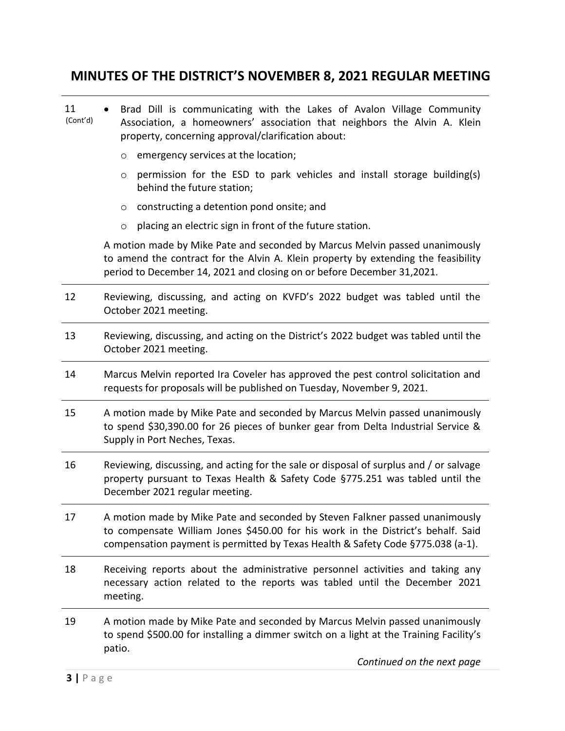| 11<br>(Cont'd) | Brad Dill is communicating with the Lakes of Avalon Village Community<br>Association, a homeowners' association that neighbors the Alvin A. Klein<br>property, concerning approval/clarification about:                                             |
|----------------|-----------------------------------------------------------------------------------------------------------------------------------------------------------------------------------------------------------------------------------------------------|
|                | emergency services at the location;<br>O                                                                                                                                                                                                            |
|                | permission for the ESD to park vehicles and install storage building(s)<br>$\circ$<br>behind the future station;                                                                                                                                    |
|                | constructing a detention pond onsite; and<br>O                                                                                                                                                                                                      |
|                | placing an electric sign in front of the future station.<br>$\circ$                                                                                                                                                                                 |
|                | A motion made by Mike Pate and seconded by Marcus Melvin passed unanimously<br>to amend the contract for the Alvin A. Klein property by extending the feasibility<br>period to December 14, 2021 and closing on or before December 31,2021.         |
| 12             | Reviewing, discussing, and acting on KVFD's 2022 budget was tabled until the<br>October 2021 meeting.                                                                                                                                               |
| 13             | Reviewing, discussing, and acting on the District's 2022 budget was tabled until the<br>October 2021 meeting.                                                                                                                                       |
| 14             | Marcus Melvin reported Ira Coveler has approved the pest control solicitation and<br>requests for proposals will be published on Tuesday, November 9, 2021.                                                                                         |
| 15             | A motion made by Mike Pate and seconded by Marcus Melvin passed unanimously<br>to spend \$30,390.00 for 26 pieces of bunker gear from Delta Industrial Service &<br>Supply in Port Neches, Texas.                                                   |
| 16             | Reviewing, discussing, and acting for the sale or disposal of surplus and / or salvage<br>property pursuant to Texas Health & Safety Code §775.251 was tabled until the<br>December 2021 regular meeting.                                           |
| 17             | A motion made by Mike Pate and seconded by Steven Falkner passed unanimously<br>to compensate William Jones \$450.00 for his work in the District's behalf. Said<br>compensation payment is permitted by Texas Health & Safety Code §775.038 (a-1). |
| 18             | Receiving reports about the administrative personnel activities and taking any<br>necessary action related to the reports was tabled until the December 2021<br>meeting.                                                                            |
| 19             | A motion made by Mike Pate and seconded by Marcus Melvin passed unanimously<br>to spend \$500.00 for installing a dimmer switch on a light at the Training Facility's<br>patio.<br>Continued on the next page                                       |
|                |                                                                                                                                                                                                                                                     |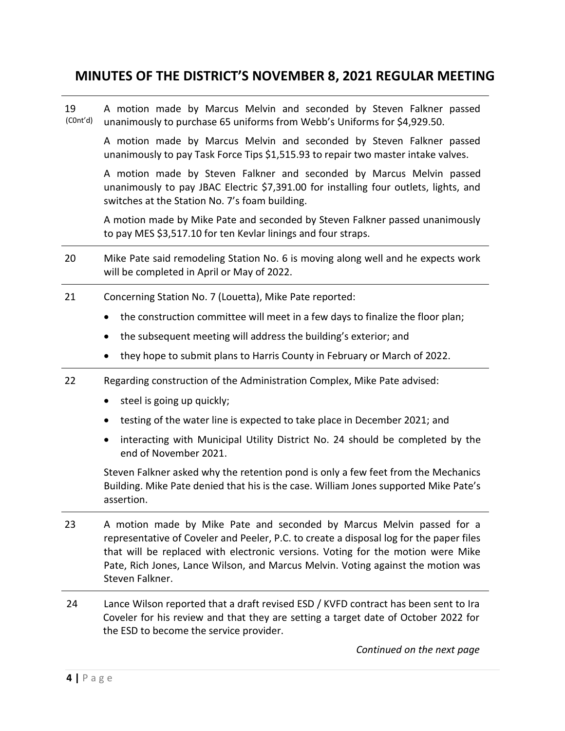19 (C0nt'd) A motion made by Marcus Melvin and seconded by Steven Falkner passed unanimously to purchase 65 uniforms from Webb's Uniforms for \$4,929.50.

A motion made by Marcus Melvin and seconded by Steven Falkner passed unanimously to pay Task Force Tips \$1,515.93 to repair two master intake valves.

A motion made by Steven Falkner and seconded by Marcus Melvin passed unanimously to pay JBAC Electric \$7,391.00 for installing four outlets, lights, and switches at the Station No. 7's foam building.

A motion made by Mike Pate and seconded by Steven Falkner passed unanimously to pay MES \$3,517.10 for ten Kevlar linings and four straps.

- 20 Mike Pate said remodeling Station No. 6 is moving along well and he expects work will be completed in April or May of 2022.
- 21 Concerning Station No. 7 (Louetta), Mike Pate reported:
	- the construction committee will meet in a few days to finalize the floor plan;
	- the subsequent meeting will address the building's exterior; and
	- they hope to submit plans to Harris County in February or March of 2022.
- 22 Regarding construction of the Administration Complex, Mike Pate advised:
	- steel is going up quickly;
	- testing of the water line is expected to take place in December 2021; and
	- interacting with Municipal Utility District No. 24 should be completed by the end of November 2021.

Steven Falkner asked why the retention pond is only a few feet from the Mechanics Building. Mike Pate denied that his is the case. William Jones supported Mike Pate's assertion.

- 23 A motion made by Mike Pate and seconded by Marcus Melvin passed for a representative of Coveler and Peeler, P.C. to create a disposal log for the paper files that will be replaced with electronic versions. Voting for the motion were Mike Pate, Rich Jones, Lance Wilson, and Marcus Melvin. Voting against the motion was Steven Falkner.
- 24 Lance Wilson reported that a draft revised ESD / KVFD contract has been sent to Ira Coveler for his review and that they are setting a target date of October 2022 for the ESD to become the service provider.

*Continued on the next page*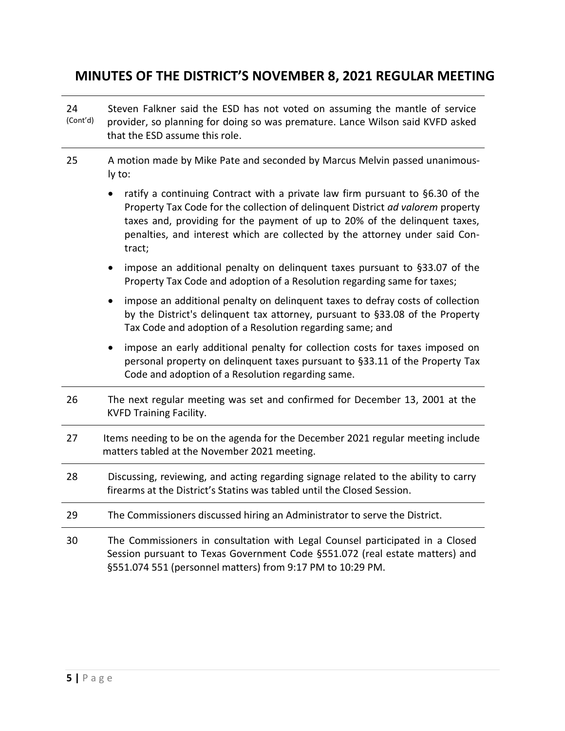| 24<br>(Cont'd) | Steven Falkner said the ESD has not voted on assuming the mantle of service<br>provider, so planning for doing so was premature. Lance Wilson said KVFD asked<br>that the ESD assume this role.                                                                                                                                         |
|----------------|-----------------------------------------------------------------------------------------------------------------------------------------------------------------------------------------------------------------------------------------------------------------------------------------------------------------------------------------|
| 25             | A motion made by Mike Pate and seconded by Marcus Melvin passed unanimous-<br>ly to:                                                                                                                                                                                                                                                    |
|                | ratify a continuing Contract with a private law firm pursuant to §6.30 of the<br>Property Tax Code for the collection of delinquent District ad valorem property<br>taxes and, providing for the payment of up to 20% of the delinquent taxes,<br>penalties, and interest which are collected by the attorney under said Con-<br>tract; |
|                | impose an additional penalty on delinquent taxes pursuant to §33.07 of the<br>Property Tax Code and adoption of a Resolution regarding same for taxes;                                                                                                                                                                                  |
|                | impose an additional penalty on delinquent taxes to defray costs of collection<br>by the District's delinquent tax attorney, pursuant to §33.08 of the Property<br>Tax Code and adoption of a Resolution regarding same; and                                                                                                            |
|                | impose an early additional penalty for collection costs for taxes imposed on<br>$\bullet$<br>personal property on delinquent taxes pursuant to §33.11 of the Property Tax<br>Code and adoption of a Resolution regarding same.                                                                                                          |
| 26             | The next regular meeting was set and confirmed for December 13, 2001 at the<br><b>KVFD Training Facility.</b>                                                                                                                                                                                                                           |
| 27             | Items needing to be on the agenda for the December 2021 regular meeting include<br>matters tabled at the November 2021 meeting.                                                                                                                                                                                                         |
| 28             | Discussing, reviewing, and acting regarding signage related to the ability to carry<br>firearms at the District's Statins was tabled until the Closed Session.                                                                                                                                                                          |
| 29             | The Commissioners discussed hiring an Administrator to serve the District.                                                                                                                                                                                                                                                              |
| 30             | The Commissioners in consultation with Legal Counsel participated in a Closed<br>Session pursuant to Texas Government Code §551.072 (real estate matters) and<br>§551.074 551 (personnel matters) from 9:17 PM to 10:29 PM.                                                                                                             |